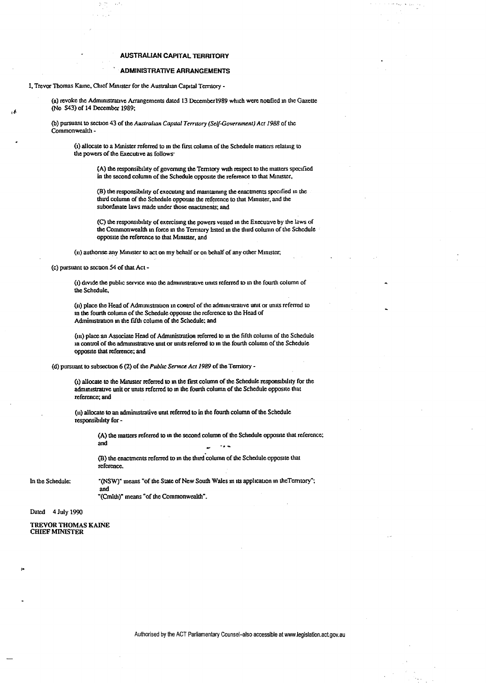## **AUSTRALIAN CAPITAL TERRITORY**

## **ADMINISTRATIVE ARRANGEMENTS**

I, Trevor Thomas Kaine, Chief Minister for the Australian Capital Territory -

(a) revoke the Administrative Arrangements dated 13 December 1989 which were nonfied in the Gazette (No S43) of 14 December 1989;

(b) pursuant to section 43 of the Australian Capital Territory (Self-Government) Act 1988 of the Commonwealth -

(1) allocate to a Minister referred to in the first column of the Schedule matters relating to the powers of the Executive as follows.

(A) the responsibility of governing the Territory with respect to the matters specified in the second column of the Schedule opposite the reference to that Minister,

(B) the responsibility of executing and maintaining the enactments specified in the third column of the Schedule opposite the reference to that Minister, and the subordinate laws made under those enactments; and

(C) the responsibility of exercising the powers vested in the Executive by the laws of the Commonwealth in force in the Territory listed in the third column of the Schedule opposite the reference to that Minister, and

(ii) authorise any Minister to act on my behalf or on behalf of any other Minister,

(c) pursuant to section 54 of that Act -

(i) divide the public service into the administrative units referred to in the fourth column of the Schedule.

(ii) place the Head of Administration in control of the administrative unit or units referred to in the fourth column of the Schedule opposite the reference to the Head of Administration in the fifth column of the Schedule; and

(in) place an Associate Head of Administration referred to in the fifth column of the Schedule in control of the administrative unit or units referred to in the fourth column of the Schedule opposite that reference; and

(d) pursuant to subsection 6 (2) of the Public Service Act 1989 of the Territory -

(1) allocate to the Minister referred to in the first column of the Schedule responsibility for the administrative unit or units referred to in the fourth column of the Schedule opposite that reference; and

(ii) allocate to an administrative unit referred to in the fourth column of the Schedule responsibility for-

> (A) the matters referred to in the second column of the Schedule opposite that reference; and

(B) the enactments referred to in the third column of the Schedule opposite that reference.

In the Schedule:

"(NSW)" means "of the State of New South Wales in its application in the Terntory"; and "(Cmlth)" means "of the Commonwealth".

## Dated 4 July 1990

**TREVOR THOMAS KAINE CHIEF MINISTER**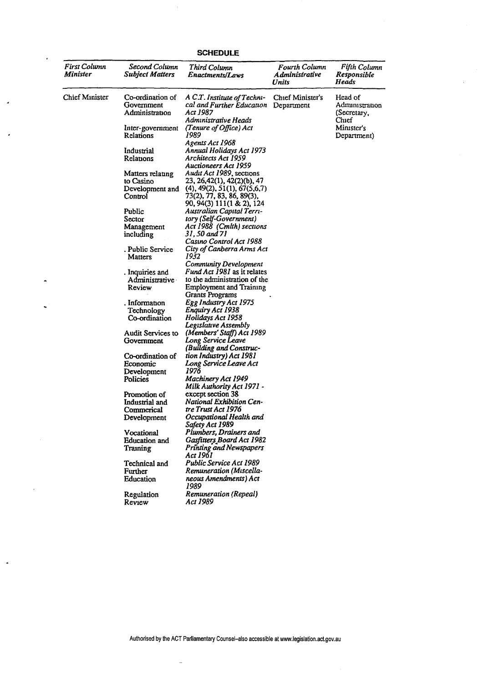| <b>First Column</b><br>Minister | Second Column<br><b>Subject Matters</b>          | Third Column<br>Enactments/Laws                                                              | <b>Fourth Column</b><br>Administrative<br>Units | Fifth Column<br>Kesponsible<br>Heads              |
|---------------------------------|--------------------------------------------------|----------------------------------------------------------------------------------------------|-------------------------------------------------|---------------------------------------------------|
| Chief Minister                  | Co-ordination of<br>Government<br>Administration | A C.T. Institute of Techni-<br>cal and Further Education<br>Act 1987<br>Administrative Heads | Chief Minister's<br>Department                  | Head of<br>Administration<br>(Secretary,<br>Chief |
|                                 | Inter-government<br>Relations                    | (Tenure of Office) Act<br>1989                                                               |                                                 | Minister's<br>Department)                         |
|                                 |                                                  | Agents Act 1968                                                                              |                                                 |                                                   |
|                                 | Industrial<br>Relations                          | Annual Holidays Act 1973<br>Architects Act 1959<br>Auctioneers Act 1959                      |                                                 |                                                   |
|                                 | Matters relating                                 | Audit Act 1989, sections                                                                     |                                                 |                                                   |
|                                 | to Casino                                        | 23, 26, 42(1), 42(2)(b), 47                                                                  |                                                 |                                                   |
|                                 | Development and                                  | $(4)$ , 49 $(2)$ , 51 $(1)$ , 67 $(5,6,7)$                                                   |                                                 |                                                   |
|                                 | Control                                          | 73(2), 77, 83, 86, 89(3),<br>90, 94(3) 111(1 & 2), 124                                       |                                                 |                                                   |
|                                 | Public                                           | Australian Capital Terri-                                                                    |                                                 |                                                   |
|                                 | Sector                                           | tory (Self-Government)<br>Act 1988 (Cmlth) sections                                          |                                                 |                                                   |
|                                 | Management<br>including                          | 31.50 and 71                                                                                 |                                                 |                                                   |
|                                 |                                                  | Casino Control Act 1988                                                                      |                                                 |                                                   |
|                                 | . Public Service                                 | City of Canberra Arms Act                                                                    |                                                 |                                                   |
|                                 | Matters                                          | 1932                                                                                         |                                                 |                                                   |
|                                 |                                                  | Community Development                                                                        |                                                 |                                                   |
|                                 | . Inquiries and<br>Administrative                | Fund Act 1981 as it relates<br>to the administration of the                                  |                                                 |                                                   |
|                                 | Review                                           | <b>Employment and Training</b><br><b>Grants Programs</b>                                     |                                                 |                                                   |
|                                 | . Information                                    | Egg Industry Act 1975                                                                        |                                                 |                                                   |
|                                 | Technology                                       | Enquiry Act 1938                                                                             |                                                 |                                                   |
|                                 | Co-ordination                                    | Holidays Act 1958                                                                            |                                                 |                                                   |
|                                 |                                                  | Legislative Assembly                                                                         |                                                 |                                                   |
|                                 | Audit Services to                                | (Members' Staff) Act 1989                                                                    |                                                 |                                                   |
|                                 | Government                                       | Long Service Leave<br>(Building and Construc-                                                |                                                 |                                                   |
|                                 | Co-ordination of                                 | tion Industry) Act 1981                                                                      |                                                 |                                                   |
|                                 | Economic                                         | Long Service Leave Act                                                                       |                                                 |                                                   |
|                                 | Development                                      | 1976                                                                                         |                                                 |                                                   |
|                                 | Policies                                         | Machinery Act 1949<br>Milk Authority Act 1971 -                                              |                                                 |                                                   |
|                                 | Promotion of                                     | except section 38                                                                            |                                                 |                                                   |
|                                 | Industrial and                                   | National Exhibition Cen-                                                                     |                                                 |                                                   |
|                                 | Commerical                                       | tre Trust Act 1976                                                                           |                                                 |                                                   |
|                                 | Development                                      | Occupational Health and<br>Safety Act 1989                                                   |                                                 |                                                   |
|                                 | Vocational                                       | Plumbers, Drainers and                                                                       |                                                 |                                                   |
|                                 | Education and                                    | Gasfitters Board Act 1982                                                                    |                                                 |                                                   |
|                                 | Training                                         | <b>Printing and Newspapers</b><br>Act 1961                                                   |                                                 |                                                   |
|                                 | Technical and                                    | Public Service Act 1989                                                                      |                                                 |                                                   |
|                                 | Further                                          | Remuneration (Miscella-                                                                      |                                                 |                                                   |
|                                 | Education                                        | neous Amendments) Act<br>1989                                                                |                                                 |                                                   |
|                                 | Regulation<br>Review                             | Remuneration (Repeal)<br>Act 1989                                                            |                                                 |                                                   |

J.

 $\ddot{\phantom{0}}$ 

 $\ddot{\phantom{1}}$ 

 $\ddot{\phantom{0}}$ 

 $\bar{\mathcal{A}}$ 

 $\ddot{\phantom{1}}$ 

**SCHEDULE** 

Authorised by the ACT Parliamentary Counsel-also accessible at www.legislation.act.gov.au

 $\overline{a}$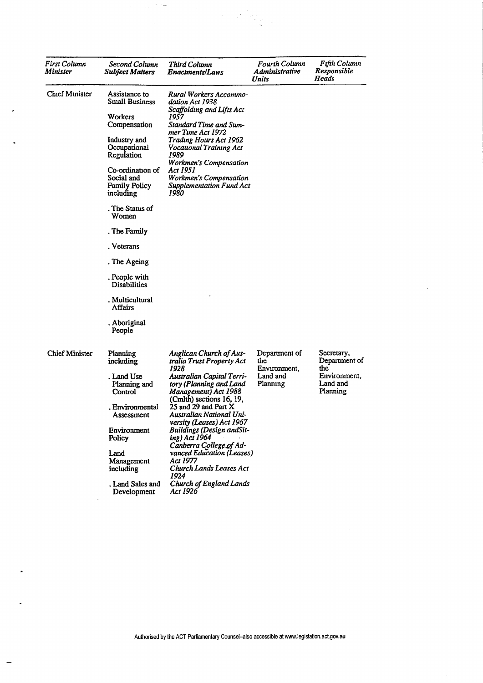| First Column<br>Minister | Second Column<br><b>Subject Matters</b>                             | Third Column<br>Enactments/Laws                                                                           | Fourth Column<br><b>Administrative</b><br>Units | <b>Fifth Column</b><br>Responsible<br>Heads |
|--------------------------|---------------------------------------------------------------------|-----------------------------------------------------------------------------------------------------------|-------------------------------------------------|---------------------------------------------|
| Chief Minister           | Assistance to<br>Small Business                                     | Rural Workers Accommo-<br>dation Act 1938<br>Scaffolding and Lifts Act                                    |                                                 |                                             |
|                          | Workers<br>Compensation                                             | 1957<br>Standard Time and Sum-<br>mer Time Act 1972                                                       |                                                 |                                             |
|                          | Industry and<br>Occupational<br>Regulation                          | Trading Hours Act 1962<br>Vocational Training Act<br>1989<br>Workmen's Compensation                       |                                                 |                                             |
|                          | Co-ordination of<br>Social and<br><b>Family Policy</b><br>including | Act 1951<br>Workmen's Compensation<br><b>Supplementation Fund Act</b><br>1980                             |                                                 |                                             |
|                          | . The Status of<br>Women                                            |                                                                                                           |                                                 |                                             |
|                          | . The Family                                                        |                                                                                                           |                                                 |                                             |
|                          | . Veterans                                                          |                                                                                                           |                                                 |                                             |
|                          | . The Ageing                                                        |                                                                                                           |                                                 |                                             |
|                          | . People with<br>Disabilities                                       |                                                                                                           |                                                 |                                             |
|                          | . Multicultural<br>Affairs                                          |                                                                                                           |                                                 |                                             |
|                          | . Aboriginal<br>People                                              |                                                                                                           |                                                 |                                             |
| <b>Chief Minister</b>    | Planning<br>including                                               | <b>Anglican Church of Aus-</b><br>tralia Trust Property Act<br>1928                                       | Department of<br>the<br>Environment,            | Secretary,<br>Department of<br>the          |
|                          | . Land Use<br>Planning and<br>Control                               | Australian Capital Terri-<br>tory (Planning and Land<br>Management) Act 1988                              | Land and<br>Planning                            | Environment,<br>Land and<br>Planning        |
|                          | . Environmental<br>Assessment                                       | (Cmlth) sections 16, 19,<br>25 and 29 and Part X<br>Australian National Uni-<br>versity (Leases) Act 1967 |                                                 |                                             |
|                          | Environment<br>Policy                                               | <b>Buildings (Design andSit-</b><br>ing) Act 1964<br>Canberra College of Ad-                              |                                                 |                                             |
|                          | Land<br>Management<br>including                                     | vanced Education (Leases)<br>Act 1977<br>Church Lands Leases Act<br>1924                                  |                                                 |                                             |
|                          | Land Sales and<br>Development                                       | Church of England Lands<br>Act 1926                                                                       |                                                 |                                             |

 $\hat{\mathcal{A}}$ 

 $\overline{\phantom{a}}$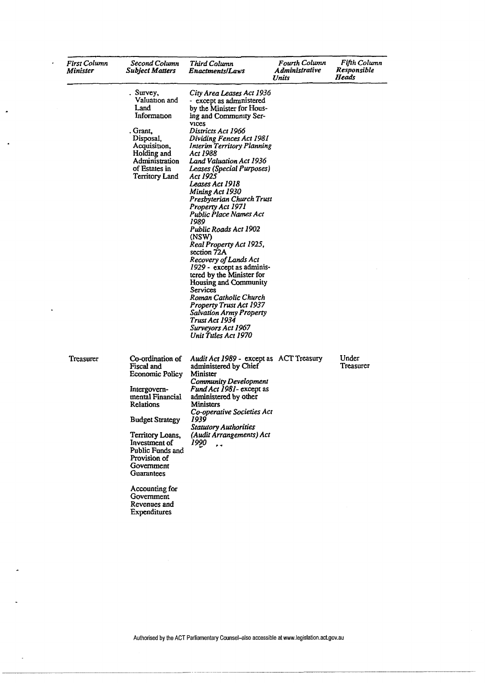| First Column<br>Minister | Second Column<br>Subject Matters                                                                                                                                                                                                                                                                  | Third Column<br><b>Enactments/Laws</b>                                                                                                                                                                                                                                                                                                                                                                                                                                                                                                                                                                                                                                                                                                                                                        | Fourth Column<br>A dministrative<br>Units | Fifth Column<br>Responsible<br>Heads |
|--------------------------|---------------------------------------------------------------------------------------------------------------------------------------------------------------------------------------------------------------------------------------------------------------------------------------------------|-----------------------------------------------------------------------------------------------------------------------------------------------------------------------------------------------------------------------------------------------------------------------------------------------------------------------------------------------------------------------------------------------------------------------------------------------------------------------------------------------------------------------------------------------------------------------------------------------------------------------------------------------------------------------------------------------------------------------------------------------------------------------------------------------|-------------------------------------------|--------------------------------------|
|                          | Survey,<br>Valuation and<br>Land<br>Information<br>. Grant.<br>Disposal,<br>Acquisition,<br>Holding and<br>Administration<br>of Estates in<br>Territory Land                                                                                                                                      | City Area Leases Act 1936<br>- except as administered<br>by the Minister for Hous-<br>ing and Community Ser-<br><b>VICES</b><br>Districts Act 1966<br>Dividing Fences Act 1981<br>Interim Territory Planning<br>Act 1988<br><b>Land Valuation Act 1936</b><br>Leases (Special Purposes)<br>Act 1925<br>Leases Act 1918<br>Mining Act 1930<br>Presbyterian Church Trust<br>Property Act 1971<br>Public Place Names Act<br>1989<br>Public Roads Act 1902<br>(NSW)<br>Real Property Act 1925,<br>section 72A<br>Recovery of Lands Act<br>1929 - except as adminis-<br>tered by the Minister for<br>Housing and Community<br>Services<br>Roman Catholic Church<br><b>Property Trust Act 1937</b><br><b>Salvation Army Property</b><br>Trust Act 1934<br>Surveyors Act 1967<br>Unit Tules Act 1970 |                                           |                                      |
| Treasurer                | Co-ordination of<br>Fiscal and<br>Economic Policy<br>Intergovern-<br>mental Financial<br>Relations<br><b>Budget Strategy</b><br>Territory Loans,<br>Investment of<br>Public Funds and<br>Provision of<br>Government<br>Guarantees<br>Accounting for<br>Government<br>Revenues and<br>Expenditures | Audit Act 1989 - except as ACT Treasury<br>administered by Chief<br>Minister<br>Community Development<br>Fund Act 1981- except as<br>administered by other<br>Ministers<br>Co-operative Societies Act<br>1939<br><b>Statutory Authorities</b><br>(Audit Arrangements) Act<br>1990                                                                                                                                                                                                                                                                                                                                                                                                                                                                                                             |                                           | Under<br>Treasurer                   |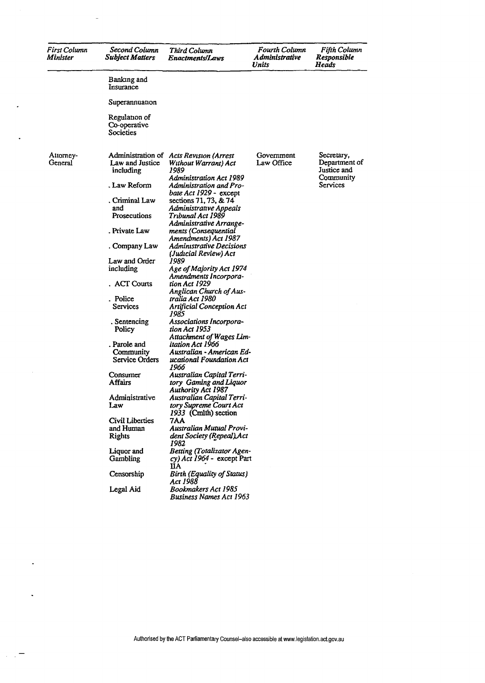| First Column<br>Minister | Second Column<br><b>Subject Matters</b>     | Third Column<br>Enactments/Laws                                                                    | Fourth Column<br>Administrative<br>Units | Fifth Column<br>Responsible<br>Heads                    |
|--------------------------|---------------------------------------------|----------------------------------------------------------------------------------------------------|------------------------------------------|---------------------------------------------------------|
|                          | Banking and<br>Insurance                    |                                                                                                    |                                          |                                                         |
|                          | Superannuation                              |                                                                                                    |                                          |                                                         |
|                          | Regulation of<br>Co-operative<br>Societies  |                                                                                                    |                                          |                                                         |
| Attomey-<br>General      | Law and Justice<br>including                | Administration of Acts Revision (Arrest<br>Without Warrant) Act<br>1989<br>Administration Act 1989 | Government<br>Law Office                 | Secretary,<br>Department of<br>Justice and<br>Community |
|                          | . Law Reform                                | Administration and Pro-<br>bate Act 1929 - except                                                  |                                          | Services                                                |
|                          | . Criminal Law<br>and<br>Prosecutions       | sections 71, 73, & 74<br>Administrative Appeals<br>Tribunal Act 1989                               |                                          |                                                         |
|                          | . Private Law                               | Administrative Arrange-<br>ments (Consequential                                                    |                                          |                                                         |
|                          | . Company Law                               | Amendments) Act 1987<br>Administrative Decisions                                                   |                                          |                                                         |
|                          | Law and Order<br>including                  | (Judicial Review) Act<br>1989<br>Age of Majority Act 1974<br>Amendments Incorpora-                 |                                          |                                                         |
|                          | <b>ACT Courts</b>                           | tion Act 1929<br>Anglican Church of Aus-                                                           |                                          |                                                         |
|                          | . Police<br>Services                        | tralia Act 1980<br>Artificial Conception Act<br>1985                                               |                                          |                                                         |
|                          | . Sentencing<br>Policy                      | Associations Incorpora-<br>tion Act 1953<br>Attachment of Wages Lim-                               |                                          |                                                         |
|                          | . Parole and<br>Community<br>Service Orders | itation Act 1966<br>Australian - American Ed-<br>ucational Foundation Act<br>1966                  |                                          |                                                         |
|                          | Consumer<br>Affairs                         | Australian Capital Terri-<br>tory Gaming and Liquor<br>Authority Act 1987                          |                                          |                                                         |
|                          | Administrative<br>Law                       | Australian Capital Terri-<br>tory Supreme Court Act<br>1933 (Cmlth) section                        |                                          |                                                         |
|                          | Civil Liberties                             | 7AA                                                                                                |                                          |                                                         |
|                          | and Human<br>Rights                         | Australian Mutual Provi-<br>dent Society (Repeal) Act<br>1982                                      |                                          |                                                         |
|                          | Liquor and<br>Gambling                      | <b>Betting (Totalizator Agen-</b><br>cy) Act 1964 - except Part<br>IIA.                            |                                          |                                                         |
|                          | Censorship                                  | Birth (Equality of Status)<br>Act 1988                                                             |                                          |                                                         |
|                          | Legal Aid                                   | Bookmakers Act 1985<br><b>Business Names Act 1963</b>                                              |                                          |                                                         |

 $\ddot{\phantom{0}}$ 

 $\ddot{\phantom{a}}$ 

 $\ddot{\phantom{0}}$ 

 $\ddot{\phantom{0}}$ 

 $\sim 10^{-2}$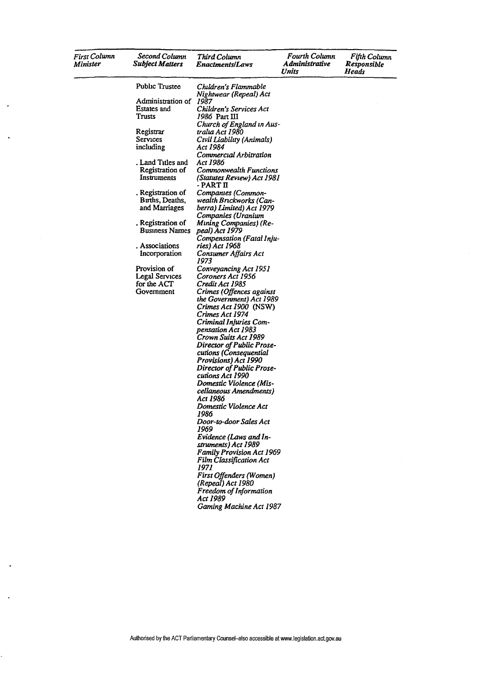| <b>First Column</b><br>Minister | Second Column<br><b>Subject Matters</b>               | Third Column<br>Enactments/Laws                                                                  | Fourth Column<br>Administrative<br>Units | Fifth Column<br>Responsible<br>Heads |
|---------------------------------|-------------------------------------------------------|--------------------------------------------------------------------------------------------------|------------------------------------------|--------------------------------------|
|                                 | Public Trustee                                        | Children's Flammable                                                                             |                                          |                                      |
|                                 | Administration of 1987<br>Estates and<br>Trusts       | Nightwear (Repeal) Act<br>Children's Services Act<br>1986 Part III                               |                                          |                                      |
|                                 | Registrar<br>Services<br>including                    | Church of England in Aus-<br>tralia Act 1980<br>Civil Liability (Animals)<br>Act 1984            |                                          |                                      |
|                                 | . Land Titles and                                     | Commercial Arbitration<br>Act 1986                                                               |                                          |                                      |
|                                 | Registration of<br>Instruments                        | Commonwealth Functions<br>(Statutes Review) Act 1981<br>- PART II                                |                                          |                                      |
|                                 | . Registration of<br>Births, Deaths,<br>and Marriages | Companies (Common-<br>wealth Brickworks (Can-<br>berra) Limited) Act 1979<br>Companies (Uranium  |                                          |                                      |
|                                 | . Registration of<br><b>Business Names</b>            | <b>Mining Companies</b> ) (Re-<br>peal) Act 1979<br>Compensation (Fatal Inju-                    |                                          |                                      |
|                                 | . Associations<br>Incorporation                       | ries) Act 1968<br>Consumer Affairs Act<br>1973                                                   |                                          |                                      |
|                                 | Provision of<br><b>Legal Services</b><br>for the ACT  | Conveyancing Act 1951<br>Coroners Act 1956<br>Credit Act 1985                                    |                                          |                                      |
|                                 | Government                                            | Crimes (Offences against<br>the Government) Act 1989<br>Crimes Act 1900 (NSW)<br>Crimes Act 1974 |                                          |                                      |
|                                 |                                                       | Criminal Injuries Com-<br>pensation Act 1983<br>Crown Suits Act 1989                             |                                          |                                      |
|                                 |                                                       | Director of Public Prose-<br>cutions (Consequential<br>Provisions) Act 1990                      |                                          |                                      |
|                                 |                                                       | Director of Public Prose-<br>cutions Act 1990<br>Domestic Violence (Mis-                         |                                          |                                      |
|                                 |                                                       | cellaneous Amendments)<br>Act 1986<br>Domestic Violence Act                                      |                                          |                                      |
|                                 |                                                       | 1986<br>Door-to-door Sales Act<br>1969                                                           |                                          |                                      |
|                                 |                                                       | Evidence (Laws and In-<br>struments) Act 1989<br><b>Family Provision Act 1969</b>                |                                          |                                      |
|                                 |                                                       | Film Classification Act<br>1971<br>First Offenders (Women)                                       |                                          |                                      |
|                                 |                                                       | (Repeal) Act 1980<br>Freedom of Information<br>Act 1989                                          |                                          |                                      |
|                                 |                                                       | Gaming Machine Act 1987                                                                          |                                          |                                      |

J.

 $\ddot{\phantom{a}}$ 

l,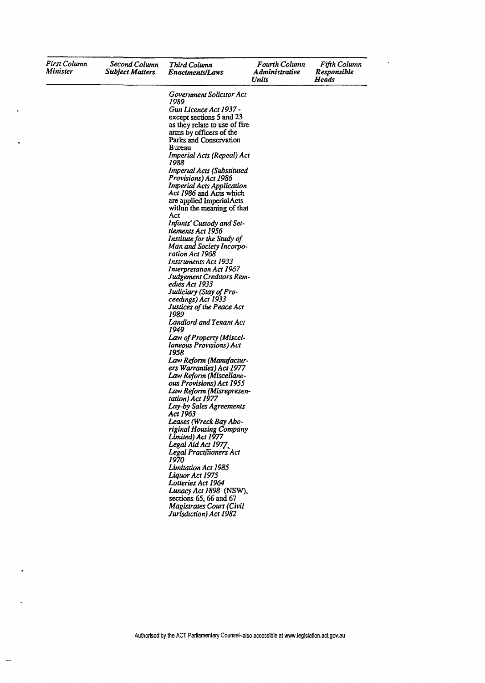| First Column<br>Minister | Second Column<br><b>Subject Matters</b> | Third Column<br><i><b>Enactments/Laws</b></i>                                                                                                                                                                                                                                                                                                                                                                                                                                                                                                                                                                                                                                                                                                                                                                                                                                                                                                                                                                                                                                                                                                                                                                                                                                                                                                                       | Fourth Column<br>Administrative<br>Units | Fifth Column<br><b>Responsible</b><br>Heads |
|--------------------------|-----------------------------------------|---------------------------------------------------------------------------------------------------------------------------------------------------------------------------------------------------------------------------------------------------------------------------------------------------------------------------------------------------------------------------------------------------------------------------------------------------------------------------------------------------------------------------------------------------------------------------------------------------------------------------------------------------------------------------------------------------------------------------------------------------------------------------------------------------------------------------------------------------------------------------------------------------------------------------------------------------------------------------------------------------------------------------------------------------------------------------------------------------------------------------------------------------------------------------------------------------------------------------------------------------------------------------------------------------------------------------------------------------------------------|------------------------------------------|---------------------------------------------|
|                          |                                         | Government Solicitor Act<br>1989<br>Gun Licence Act 1937 -<br>except sections 5 and 23<br>as they relate to use of fire<br>arms by officers of the<br>Parks and Conservation<br>Bureau<br>Imperial Acts (Repeal) Act<br>1988<br>Imperial Acts (Substituted<br>Provisions) Act 1986<br><b>Imperial Acts Application</b><br>Act 1986 and Acts which<br>are applied ImperialActs<br>within the meaning of that<br>Act<br>Infants' Custody and Set-<br>tlements Act 1956<br>Institute for the Study of<br>Man and Society Incorpo-<br>ration Act 1968<br>Instruments Act 1933<br>Interpretation Act 1967<br>Judgement Creditors Rem-<br>edies Act 1933<br>Judiciary (Stay of Pro-<br>ceedings) Act 1933<br>Justices of the Peace Act<br>1989<br>Landlord and Tenant Act<br>1949<br>Law of Property (Miscel-<br>laneous Provisions) Act<br>1958<br>Law Reform (Manufactur-<br>ers Warranties) Act 1977<br>Law Reform (Miscellane-<br>ous Provisions) Act 1955<br>Law Reform (Misrepresen-<br>tation) Act 1977<br>Lay-by Sales Agreements<br>Act 1963<br>Leases (Wreck Bay Abo-<br>riginal Housing Company<br>Limited) Act 1977<br>Legal Aid Act 1977<br>Legal Practitioners Act<br>1970<br>Limitation Act 1985<br>Liquor Act 1975<br>Lotteries Act 1964<br>Lunacy Act 1898 (NSW),<br>sections 65, 66 and 67<br><b>Magistrates Court (Civil</b><br>Jurisdiction) Act 1982 |                                          |                                             |

l,

 $\bullet$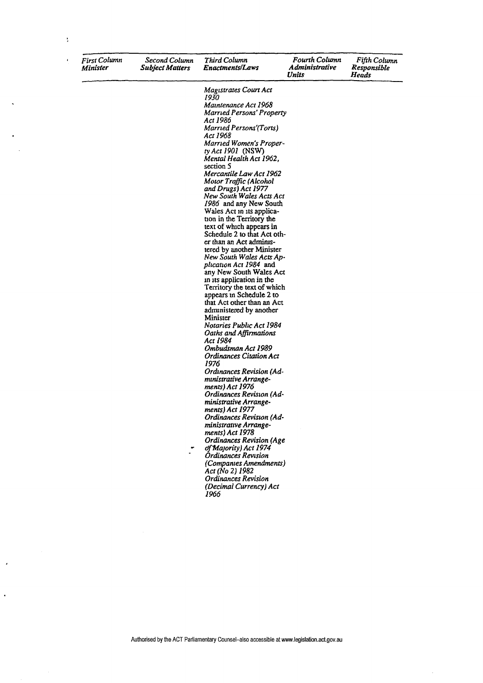| <b>First Column</b><br><b>Minister</b> | Second Column<br><b>Subject Matters</b> | Third Column<br>Enactments/Laws               |
|----------------------------------------|-----------------------------------------|-----------------------------------------------|
|                                        |                                         | Magistrates Court Act<br>1930                 |
|                                        |                                         | Maintenance Act 1968                          |
|                                        |                                         | Married Persons' Prop<br>Act 1986             |
|                                        |                                         | <b>Married Persons'(Tort</b><br>Act 1968      |
|                                        |                                         | Married Women's Proi<br>ty Act 1901 (NSW)     |
|                                        |                                         | Mental Health Act 196<br>section 5            |
|                                        |                                         | Mercantile Law Act 19                         |
|                                        |                                         | Motor Traffic (Alcohol<br>and Drugs) Act 1977 |
|                                        |                                         | New South Wales Acts<br>1986 and any New So   |

 $\ddot{\cdot}$ 

| Maintenance Act 1968            |
|---------------------------------|
| Married Persons' Property       |
| Act 1986                        |
| Married Persons'(Torts)         |
| Act 1968                        |
| Married Women's Proper-         |
| ty Act 1901 (NSW)               |
| Mental Health Act 1962,         |
| section 5                       |
| Mercantile Law Act 1962         |
|                                 |
| Motor Traffic (Alcohol          |
| and Drugs) Act 1977             |
| New South Wales Acts Act        |
| 1986 and any New South          |
| Wales Act in its applica-       |
| tion in the Territory the       |
| text of which appears in        |
| Schedule 2 to that Act oth-     |
| er than an Act adminis-         |
| tered by another Minister       |
| New South Wales Acts Ap-        |
| plication Act 1984 and          |
| any New South Wales Act         |
| in its application in the       |
| Territory the text of which     |
| appears in Schedule 2 to        |
| that Act other than an Act      |
|                                 |
| administered by another         |
| Minister                        |
| Notaries Public Act 1984        |
| Oaths and Affirmations          |
| Act 1984                        |
| Ombudsman Act 1989              |
| <b>Ordinances Citation Act</b>  |
| 1976                            |
| <b>Ordinances Revision (Ad-</b> |
| ministrative Arrange-           |
| ments) Act 1976                 |
| Ordinances Revision (Ad-        |
| ministrative Arrange-           |
| ments) Act 1977                 |
| <b>Ordinances Revision (Ad-</b> |
| ministrative Arrange-           |
|                                 |
| ments) Act 1978                 |
| <b>Ordinances Revision (Age</b> |
| of Majority) Act 1974           |
| Órdinances Revision             |
| (Companies Amendments)          |
| Act (No 2) 1982                 |
| Ordinances Revision             |
| (Decimal Currency) Act          |
| 1966                            |
|                                 |

Fourth Column<br>Administrative<br>Units

Fifth Column<br>Responsible<br>Heads

 $\overline{\phantom{a}}$ 

## Authorised by the ACT Parliamentary Counsel-also accessible at www.legislation.act.gov.au

 $\ddot{\phantom{a}}$ 

 $\ddot{\phantom{0}}$ 

 $\cdot$ 

 $\ddot{\phantom{1}}$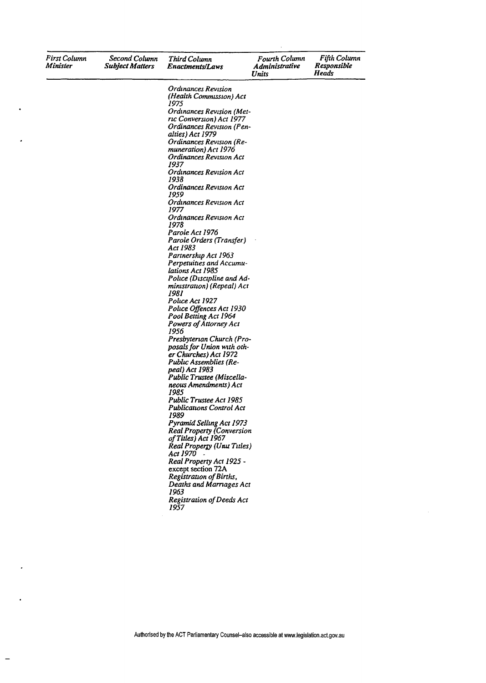| First Column<br>Minister | Second Column<br><b>Subject Matters</b> | <b>Third Column</b><br><b>Enactments/Laws</b>           | Fourth Column<br><b>Administrative</b><br>Units | Fifth Column<br>Responsible<br>Heads |
|--------------------------|-----------------------------------------|---------------------------------------------------------|-------------------------------------------------|--------------------------------------|
|                          |                                         | Ordinances Revision                                     |                                                 |                                      |
|                          |                                         | (Health Commission) Act                                 |                                                 |                                      |
|                          |                                         | 1975                                                    |                                                 |                                      |
|                          |                                         | Ordinances Revision (Met-                               |                                                 |                                      |
|                          |                                         | ric Conversion) Act 1977                                |                                                 |                                      |
|                          |                                         | Ordinances Revision (Pen-                               |                                                 |                                      |
|                          |                                         | alties) Act 1979                                        |                                                 |                                      |
|                          |                                         | Ordinances Revision (Re-<br>muneration) Act 1976        |                                                 |                                      |
|                          |                                         | Ordinances Revision Act                                 |                                                 |                                      |
|                          |                                         | 1937                                                    |                                                 |                                      |
|                          |                                         | <b>Ordinances Revision Act</b>                          |                                                 |                                      |
|                          |                                         | 1938                                                    |                                                 |                                      |
|                          |                                         | Ordinances Revision Act                                 |                                                 |                                      |
|                          |                                         | 1959                                                    |                                                 |                                      |
|                          |                                         | Ordinances Revision Act<br>1977                         |                                                 |                                      |
|                          |                                         | Ordinances Revision Act                                 |                                                 |                                      |
|                          |                                         | 1978                                                    |                                                 |                                      |
|                          |                                         | Parole Act 1976                                         |                                                 |                                      |
|                          |                                         | Parole Orders (Transfer)                                |                                                 |                                      |
|                          |                                         | Act 1983                                                |                                                 |                                      |
|                          |                                         | Partnership Act 1963                                    |                                                 |                                      |
|                          |                                         | Perpetuities and Accumu-                                |                                                 |                                      |
|                          |                                         | lations Act 1985                                        |                                                 |                                      |
|                          |                                         | Police (Discipline and Ad-                              |                                                 |                                      |
|                          |                                         | ministration) (Repeal) Act<br>1981                      |                                                 |                                      |
|                          |                                         | Police Act 1927                                         |                                                 |                                      |
|                          |                                         | Police Offences Act 1930                                |                                                 |                                      |
|                          |                                         | Pool Betting Act 1964                                   |                                                 |                                      |
|                          |                                         | Powers of Attorney Act                                  |                                                 |                                      |
|                          |                                         | 1956                                                    |                                                 |                                      |
|                          |                                         | Presbyterian Church (Pro-                               |                                                 |                                      |
|                          |                                         | posals for Union with oth-                              |                                                 |                                      |
|                          |                                         | er Churches) Act 1972                                   |                                                 |                                      |
|                          |                                         | <b>Public Assemblies (Re-</b><br><i>peal</i> ) Act 1983 |                                                 |                                      |
|                          |                                         | Public Trustee (Miscella-                               |                                                 |                                      |
|                          |                                         | neous Amendments) Act                                   |                                                 |                                      |
|                          |                                         | 1985                                                    |                                                 |                                      |
|                          |                                         | Public Trustee Act 1985                                 |                                                 |                                      |
|                          |                                         | Publications Control Act                                |                                                 |                                      |
|                          |                                         | 1989                                                    |                                                 |                                      |
|                          |                                         | Pyramid Selling Act 1973                                |                                                 |                                      |
|                          |                                         | <b>Real Property (Conversion</b>                        |                                                 |                                      |
|                          |                                         | of Titles) Act 1967<br>Real Property (Unit Titles)      |                                                 |                                      |
|                          |                                         | Act 1970 -                                              |                                                 |                                      |
|                          |                                         | Real Property Act 1925 -                                |                                                 |                                      |
|                          |                                         | except section 72A                                      |                                                 |                                      |
|                          |                                         | Registration of Births,                                 |                                                 |                                      |
|                          |                                         | Deaths and Marriages Act                                |                                                 |                                      |
|                          |                                         | 1963                                                    |                                                 |                                      |
|                          |                                         | Registration of Deeds Act                               |                                                 |                                      |
|                          |                                         | 1957                                                    |                                                 |                                      |

 $\overline{a}$ 

 $\cdot$ 

 $\cdot$ 

 $\bar{z}$ 

 $\ddot{\phantom{a}}$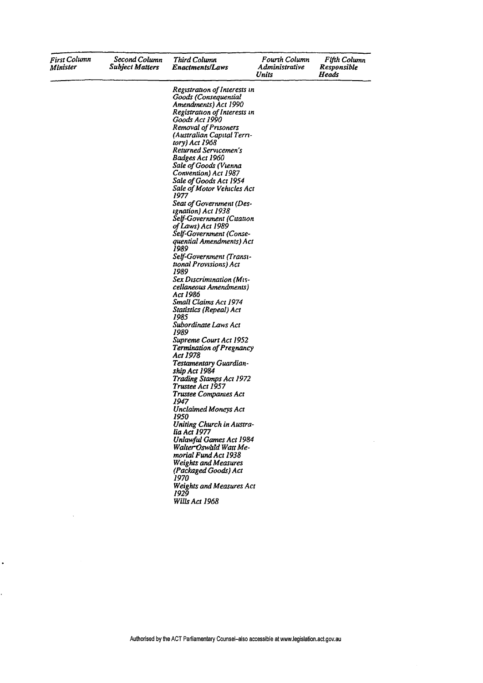| <b>First Column</b><br>Minister | Second Column<br><b>Subject Matters</b> | Third Column<br><b>Enactments/Laws</b>                                                                                                                                                                                                                                                                                                                                                                                                                                                                                                                                                                                                                                                                                                                                                                                                                                                                                                                                                                                                                                                                                                                                                                  | Fourth Column<br>Administrative<br>Units | Fifth Column<br>Responsible<br>Heads |
|---------------------------------|-----------------------------------------|---------------------------------------------------------------------------------------------------------------------------------------------------------------------------------------------------------------------------------------------------------------------------------------------------------------------------------------------------------------------------------------------------------------------------------------------------------------------------------------------------------------------------------------------------------------------------------------------------------------------------------------------------------------------------------------------------------------------------------------------------------------------------------------------------------------------------------------------------------------------------------------------------------------------------------------------------------------------------------------------------------------------------------------------------------------------------------------------------------------------------------------------------------------------------------------------------------|------------------------------------------|--------------------------------------|
|                                 |                                         | Registration of Interests in<br>Goods (Consequential<br>Amendments) Act 1990<br>Registration of Interests in<br>Goods Act 1990<br>Removal of Prisoners<br>(Australian Capital Terri-<br>tory) Act 1968<br>Returned Servicemen's<br>Badges Act 1960<br>Sale of Goods (Vienna<br>Convention) Act 1987<br>Sale of Goods Act 1954<br>Sale of Motor Vehicles Act<br>1977<br>Seat of Government (Des-<br>ignation) Act 1938<br>Self-Government (Citation<br>of Laws) Act 1989<br>Self-Government (Conse-<br>quential Amendments) Act<br>1989<br>Self-Government (Transı-<br>tional Provisions) Act<br>1989<br>Sex Discrimination (Mis-<br>cellaneous Amendments)<br>Act 1986<br>Small Claims Act 1974<br>Statistics (Repeal) Act<br>1985<br>Subordinate Laws Act<br>1989<br>Supreme Court Act 1952<br>Termination of Pregnancy<br>Act 1978<br>Testamentary Guardian-<br>ship Act 1984<br>Trading Stamps Act 1972<br>Trustee Act 1957<br>Trustee Companies Act<br>1947<br><b>Unclaimed Moneys Act</b><br>1950<br>Uniting Church in Austra-<br>lia Act 1977<br><b>Unlawful Games Act 1984</b><br>Walter Oswald Watt Me-<br>morial Fund Act 1938<br><b>Weights and Measures</b><br>(Packaged Goods) Act<br>1970. |                                          |                                      |
|                                 |                                         | <b>Weights and Measures Act</b><br>1929<br>Wills Act 1968                                                                                                                                                                                                                                                                                                                                                                                                                                                                                                                                                                                                                                                                                                                                                                                                                                                                                                                                                                                                                                                                                                                                               |                                          |                                      |

 $\ddot{\phantom{0}}$ 

Ĭ.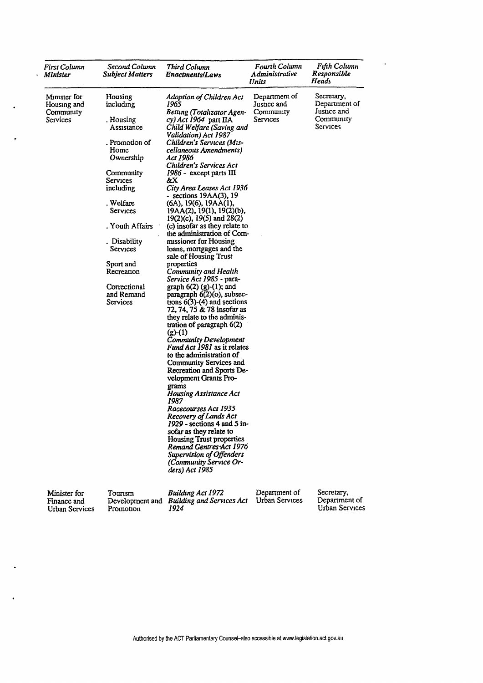| <b>First Column</b><br>Minister                      | Second Column<br><b>Subject Matters</b>                           | Third Column<br>Enactments/Laws                                                                                                                                                                                                                                                                                                                                                                                                                                                                                                                                                                                                                                            | Fourth Column<br><i><b>Administrative</b></i><br>Units | Fifth Column<br>Responsible<br>Heads                                |
|------------------------------------------------------|-------------------------------------------------------------------|----------------------------------------------------------------------------------------------------------------------------------------------------------------------------------------------------------------------------------------------------------------------------------------------------------------------------------------------------------------------------------------------------------------------------------------------------------------------------------------------------------------------------------------------------------------------------------------------------------------------------------------------------------------------------|--------------------------------------------------------|---------------------------------------------------------------------|
| Minister for<br>Housing and<br>Community<br>Services | Housing<br>including<br>. Housing<br>Assistance<br>. Promotion of | Adoption of Children Act<br>1965<br>Betting (Totalizator Agen-<br>cy) Act 1964 part IIA<br>Child Welfare (Saving and<br>Validation) Act 1987<br>Children's Services (Mis-                                                                                                                                                                                                                                                                                                                                                                                                                                                                                                  | Department of<br>Justice and<br>Community<br>Services  | Secretary,<br>Department of<br>Justice and<br>Community<br>Services |
|                                                      | Home<br>Ownership                                                 | cellaneous Amendments)<br>Act 1986<br>Children's Services Act                                                                                                                                                                                                                                                                                                                                                                                                                                                                                                                                                                                                              |                                                        |                                                                     |
|                                                      | Community<br>Services<br>including                                | 1986 - except parts III<br>&X.<br>City Area Leases Act 1936                                                                                                                                                                                                                                                                                                                                                                                                                                                                                                                                                                                                                |                                                        |                                                                     |
|                                                      | . Welfare<br>Services                                             | - sections 19AA(3), 19<br>(6A), 19(6), 19AA(1),<br>$19AA(2)$ , $19(1)$ , $19(2)(b)$ ,<br>$19(2)(c)$ , $19(5)$ and $28(2)$                                                                                                                                                                                                                                                                                                                                                                                                                                                                                                                                                  |                                                        |                                                                     |
|                                                      | . Youth Affairs                                                   | (c) insofar as they relate to<br>the administration of Com-                                                                                                                                                                                                                                                                                                                                                                                                                                                                                                                                                                                                                |                                                        |                                                                     |
|                                                      | Disability<br>Services                                            | missioner for Housing<br>loans, mortgages and the<br>sale of Housing Trust                                                                                                                                                                                                                                                                                                                                                                                                                                                                                                                                                                                                 |                                                        |                                                                     |
|                                                      | Sport and<br>Recreation                                           | properties<br>Community and Health<br>Service Act 1985 - para-                                                                                                                                                                                                                                                                                                                                                                                                                                                                                                                                                                                                             |                                                        |                                                                     |
|                                                      | Correctional<br>and Remand<br>Services                            | graph $6(2)$ (g)-(1); and<br>paragraph 6(2)(o), subsec-<br>tions $6(3)-(4)$ and sections<br>72, 74, 75 & 78 insofar as<br>they relate to the adminis-<br>tration of paragraph $6(2)$<br>$(g)-(1)$<br><b>Community Development</b><br>Fund Act 1981 as it relates<br>to the administration of<br>Community Services and<br>Recreation and Sports De-<br>velopment Grants Pro-<br>grams<br>Housing Assistance Act<br>1987<br>Racecourses Act 1935<br>Recovery of Lands Act<br>$1929$ - sections 4 and 5 in-<br>sofar as they relate to<br><b>Housing Trust properties</b><br>Remand Gentres Act 1976<br>Supervision of Offenders<br>(Community Service Or-<br>ders) Act 1985 |                                                        |                                                                     |
| Minister for<br>Finance and<br><b>Urban Services</b> | Tourism<br>Promotion                                              | Building Act 1972<br>Development and Building and Services Act<br>1924                                                                                                                                                                                                                                                                                                                                                                                                                                                                                                                                                                                                     | Department of<br>Urban Services                        | Secretary,<br>Department of<br>Urban Services                       |

 $\ddot{\phantom{1}}$ 

 $\bar{\star}$ 

 $\Delta$ 

 $\ddot{\phantom{0}}$ 

 $\overline{a}$ 

 $\bar{1}$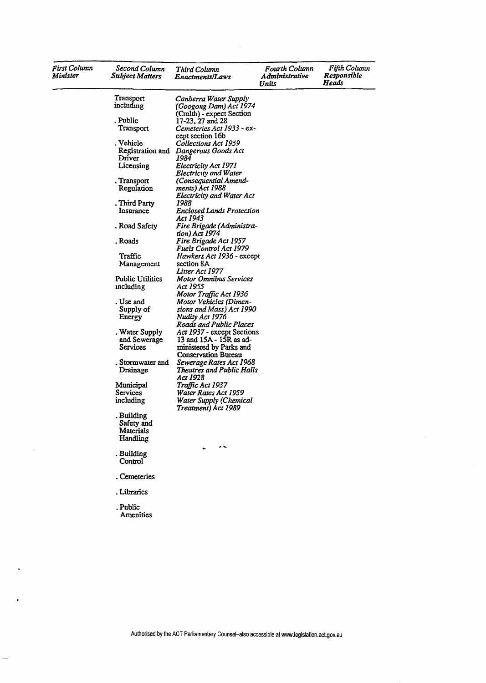| First Column<br>Minister | Second Column<br>Subject Matters | Third Column<br>Enactments/Laws                       | Fourth Column<br>Administrative<br>Units | Fifth Column<br>Responsible<br>Heads |
|--------------------------|----------------------------------|-------------------------------------------------------|------------------------------------------|--------------------------------------|
|                          | Transport                        | Canberra Water Supply                                 |                                          |                                      |
|                          | including                        | (Googong Dam) Act 1974                                |                                          |                                      |
|                          |                                  | (Cmlth) - expect Section                              |                                          |                                      |
|                          | . Public                         | 17-23, 27 and 28                                      |                                          |                                      |
|                          | Transport                        | Cemeteries Act 1933 - ex-                             |                                          |                                      |
|                          |                                  | cept section 16b                                      |                                          |                                      |
|                          | . Vehicle                        | Collections Act 1959                                  |                                          |                                      |
|                          | Registration and<br>Driver       | Dangerous Goods Act<br>1984                           |                                          |                                      |
|                          | Licensing                        | Electricity Act 1971                                  |                                          |                                      |
|                          |                                  | <b>Electricity and Water</b>                          |                                          |                                      |
|                          | . Transport                      | (Consequential Amend-                                 |                                          |                                      |
|                          | Regulation                       | ments) Act 1988                                       |                                          |                                      |
|                          |                                  | Electricity and Water Act                             |                                          |                                      |
|                          | . Third Party                    | 1988                                                  |                                          |                                      |
|                          | Insurance                        | <b>Enclosed Lands Protection</b>                      |                                          |                                      |
|                          |                                  | Act 1943                                              |                                          |                                      |
|                          | . Road Safety                    | Fire Brigade (Administra-                             |                                          |                                      |
|                          |                                  | tion) Act 1974                                        |                                          |                                      |
|                          | . Roads                          | Fire Brigade Act 1957<br>Fuels Control Act 1979       |                                          |                                      |
|                          | Traffic                          | Hawkers Act 1936 - except                             |                                          |                                      |
|                          | Management                       | section 8A                                            |                                          |                                      |
|                          |                                  | Litter Act 1977                                       |                                          |                                      |
|                          | Public Utilities                 | Motor Omnibus Services                                |                                          |                                      |
|                          | including                        | Act 1955                                              |                                          |                                      |
|                          |                                  | Motor Traffic Act 1936                                |                                          |                                      |
|                          | . Use and                        | Motor Vehicles (Dimen-                                |                                          |                                      |
|                          | Supply of                        | sions and Mass) Act 1990                              |                                          |                                      |
|                          | Energy                           | Nudity Act 1976                                       |                                          |                                      |
|                          |                                  | Roads and Public Places                               |                                          |                                      |
|                          | . Water Supply                   | Act 1937 - except Sections                            |                                          |                                      |
|                          | and Sewerage<br>Services         | 13 and 15A - 15R as ad-                               |                                          |                                      |
|                          |                                  | ministered by Parks and<br><b>Conservation Bureau</b> |                                          |                                      |
|                          | . Stormwater and                 | Sewerage Rates Act 1968                               |                                          |                                      |
|                          | Drainage                         | <b>Theatres and Public Halls</b>                      |                                          |                                      |
|                          |                                  | Act 1928                                              |                                          |                                      |
|                          | Municipal                        | Traffic Act 1937                                      |                                          |                                      |
|                          | Services                         | Water Rates Act 1959                                  |                                          |                                      |
|                          | including                        | Water Supply (Chemical<br>Treatment) Act 1989         |                                          |                                      |
|                          | . Building                       |                                                       |                                          |                                      |
|                          | Safety and                       |                                                       |                                          |                                      |
|                          | Materials                        |                                                       |                                          |                                      |
|                          | Handling                         |                                                       |                                          |                                      |
|                          |                                  | $\cdot$ $\cdot$                                       |                                          |                                      |
|                          | . Building<br>Control            |                                                       |                                          |                                      |
|                          | . Cemeteries                     |                                                       |                                          |                                      |
|                          | Libraries                        |                                                       |                                          |                                      |
|                          | . Public<br>Amenities            |                                                       |                                          |                                      |

 $\sim$ 

 $\ddot{\phantom{0}}$ 

 $\bullet$ 

 $\rightarrow$ 

 $\mathcal{L}$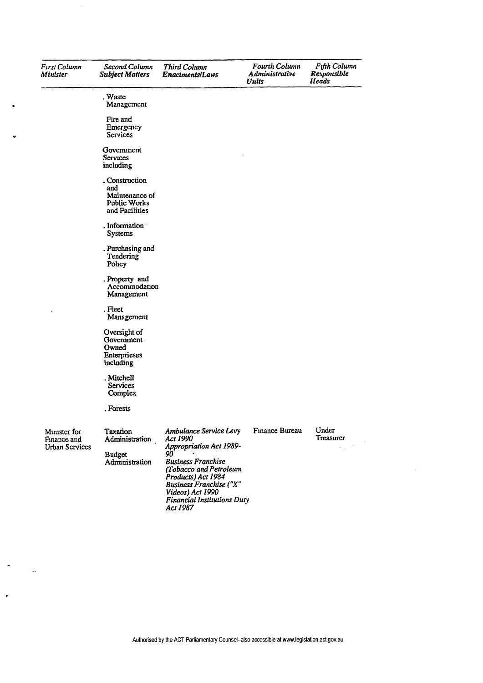| First Column<br>Minister                             | Second Column<br><b>Subject Matters</b>                                   | Third Column<br><b>Enactments/Laws</b>                                                                                                                                                                                                            | <b>Fourth Column</b><br>Administrative<br>Units | Fifth Column<br>Responsible<br>Heads |
|------------------------------------------------------|---------------------------------------------------------------------------|---------------------------------------------------------------------------------------------------------------------------------------------------------------------------------------------------------------------------------------------------|-------------------------------------------------|--------------------------------------|
|                                                      | . Waste<br>Management                                                     |                                                                                                                                                                                                                                                   |                                                 |                                      |
|                                                      | Fire and<br>Emergency<br>Services                                         |                                                                                                                                                                                                                                                   |                                                 |                                      |
|                                                      | Government<br>Services<br>including                                       |                                                                                                                                                                                                                                                   |                                                 |                                      |
|                                                      | . Construction<br>and<br>Maintenance of<br>Public Works<br>and Facilities |                                                                                                                                                                                                                                                   |                                                 |                                      |
|                                                      | . Information<br>Systems                                                  |                                                                                                                                                                                                                                                   |                                                 |                                      |
|                                                      | . Purchasing and<br>Tendering<br>Policy                                   |                                                                                                                                                                                                                                                   |                                                 |                                      |
|                                                      | . Property and<br>Accommodation<br>Management                             |                                                                                                                                                                                                                                                   |                                                 |                                      |
|                                                      | . Fleet<br>Management                                                     |                                                                                                                                                                                                                                                   |                                                 |                                      |
|                                                      | Oversight of<br>Government<br>Owned<br>Enterprieses<br>including          |                                                                                                                                                                                                                                                   |                                                 |                                      |
|                                                      | . Mitchell<br>Services<br>Complex                                         |                                                                                                                                                                                                                                                   |                                                 |                                      |
|                                                      | . Forests                                                                 |                                                                                                                                                                                                                                                   |                                                 |                                      |
| Minister for<br>Finance and<br><b>Urban Services</b> | Taxation<br>Administration<br><b>Budget</b><br>Administration             | Ambulance Service Levy<br>Act 1990<br>Appropriation Act 1989-<br>90<br><b>Business Franchise</b><br>(Tobacco and Petroleum<br>Products) Act 1984<br>Business Franchise ("X"<br>Videos) Act 1990<br><b>Financial Institutions Duty</b><br>Act 1987 | Finance Bureau                                  | Under<br>Treasurer                   |

×

J.

 $\ddot{\phantom{0}}$ 

 $\bullet$ 

 $\ddotsc$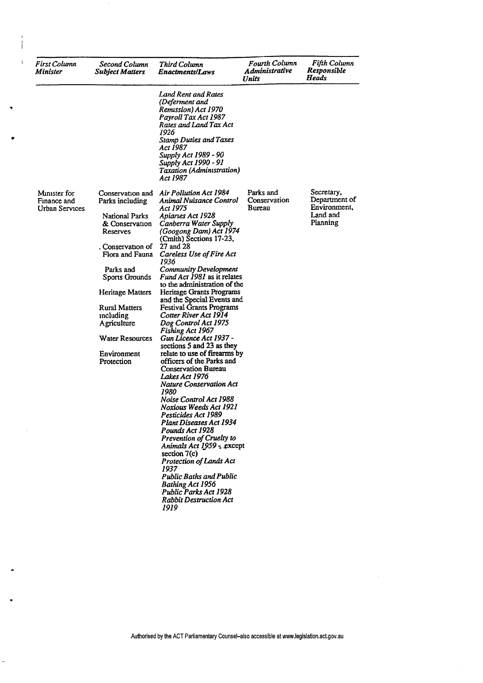| First Column<br>Minister                      | Second Column<br><b>Subject Matters</b>                                                                                                                                                                                                                       | Third Column<br><b>Enactments/Laws</b>                                                                                                                                                                                                                                                                                                                                                                                                                                                                                                                                                                                                                                                                                                                                                                                                                                                                                                                                                                                                                                                        | Fourth Column<br><b>Administrative</b><br>Units | Fifth Column<br>Responsible<br>Heads                                |
|-----------------------------------------------|---------------------------------------------------------------------------------------------------------------------------------------------------------------------------------------------------------------------------------------------------------------|-----------------------------------------------------------------------------------------------------------------------------------------------------------------------------------------------------------------------------------------------------------------------------------------------------------------------------------------------------------------------------------------------------------------------------------------------------------------------------------------------------------------------------------------------------------------------------------------------------------------------------------------------------------------------------------------------------------------------------------------------------------------------------------------------------------------------------------------------------------------------------------------------------------------------------------------------------------------------------------------------------------------------------------------------------------------------------------------------|-------------------------------------------------|---------------------------------------------------------------------|
|                                               |                                                                                                                                                                                                                                                               | Land Rent and Rates<br>(Deferment and<br>Remission) Act 1970<br>Payroll Tax Act 1987<br>Rates and Land Tax Act<br>1926<br><b>Stamp Duties and Taxes</b><br>Act 1987<br>Supply Act 1989 - 90<br>Supply Act 1990 - 91<br>Taxation (Administration)<br>Act 1987                                                                                                                                                                                                                                                                                                                                                                                                                                                                                                                                                                                                                                                                                                                                                                                                                                  |                                                 |                                                                     |
| Minister for<br>Finance and<br>Urban Services | Parks including<br><b>National Parks</b><br>& Conservation<br>Reserves<br>. Conservation of<br>Flora and Fauna<br>Parks and<br>Sports Grounds<br>Heritage Matters<br>Rural Matters<br>mcluding<br>Agriculture<br>Water Resources<br>Environment<br>Protection | Conservation and Air Pollution Act 1984<br>Animal Nuisance Control<br>Act 1975<br>Apianes Act 1928<br>Canberra Water Supply<br>(Googong Dam) Act 1974<br>(Cmlth) Sections 17-23,<br>27 and 28<br>Careless Use of Fire Act<br>1936<br><b>Community Development</b><br><i>Fund Act 1981</i> as it relates<br>to the administration of the<br>Heritage Grants Programs<br>and the Special Events and<br><b>Festival Grants Programs</b><br>Cotter River Act 1914<br>Dog Control Act 1975<br>Fishing Act 1967<br>Gun Licence Act 1937 -<br>sections 5 and 23 as they<br>relate to use of firearms by<br>officers of the Parks and<br><b>Conservation Bureau</b><br>Lakes Act 1976<br><b>Nature Conservation Act</b><br>1980<br>Noise Control Act 1988<br>Noxious Weeds Act 1921<br>Pesticides Act 1989<br>Plant Diseases Act 1934<br>Pounds Act 1928<br>Prevention of Cruelty to<br>Animals Act 1959 - except<br>section $7(c)$<br>Protection of Lands Act<br>1937<br><b>Public Baths and Public</b><br><b>Bathing Act 1956</b><br>Public Parks Act 1928<br><b>Rabbit Destruction Act</b><br>1919 | Parks and<br>Conservation<br>Bureau             | Secretary,<br>Department of<br>Environment,<br>Land and<br>Planning |

j

ł,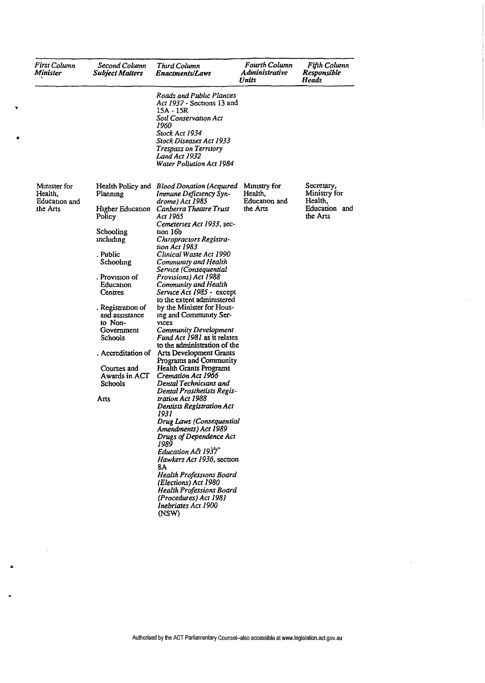| First Column<br>Minister                             | Second Column<br><b>Subject Matters</b>                      | Third Column<br>Enactments/Laws                                                                                                                                                                                         | <b>Fourth Column</b><br>Administrative<br>Units      | Fifth Column<br>Responsible<br>Heads                   |
|------------------------------------------------------|--------------------------------------------------------------|-------------------------------------------------------------------------------------------------------------------------------------------------------------------------------------------------------------------------|------------------------------------------------------|--------------------------------------------------------|
|                                                      |                                                              | Roads and Public Plances<br>Act 1937 - Sections 13 and<br>15A - 15R<br>Soil Conservation Act<br>1960<br>Stock Act 1934<br>Stock Diseases Act 1933<br>Trespass on Territory<br>Land Act 1932<br>Water Pollution Act 1984 |                                                      |                                                        |
| Minister for<br>Health,<br>Education and<br>the Arts | Health Policy and<br>Planning<br>Higher Education            | <b>Blood Donation (Acquired</b><br>Immune Deficiency Syn-<br>drome) Act 1985<br>Canberra Theatre Trust                                                                                                                  | Ministry for<br>Health,<br>Education and<br>the Arts | Secretary,<br>Ministry for<br>Health,<br>Education and |
|                                                      | Policy<br>Schooling                                          | Act 1965<br>Cemeteries Act 1933, sec-<br>tan 16b                                                                                                                                                                        |                                                      | the Arts                                               |
|                                                      | including                                                    | Chiropractors Registra-<br>tion Act 1983                                                                                                                                                                                |                                                      |                                                        |
|                                                      | . Public<br>Schooling                                        | Clinical Waste Act 1990<br>Community and Health                                                                                                                                                                         |                                                      |                                                        |
|                                                      | . Provision of<br>Education<br>Centres                       | Service (Consequential<br>Provisions) Act 1988<br>Community and Health<br>Service Act 1985 - except<br>to the extent administered                                                                                       |                                                      |                                                        |
|                                                      | . Registration of<br>and assistance<br>to Non-<br>Government | by the Minister for Hous-<br>ing and Community Ser-<br><b>VICES</b><br>Community Development                                                                                                                            |                                                      |                                                        |
|                                                      | Schools                                                      | <i>Fund Act 1981</i> as it relates<br>to the administration of the                                                                                                                                                      |                                                      |                                                        |
|                                                      | . Accreditation of                                           | Arts Development Grants<br>Programs and Community                                                                                                                                                                       |                                                      |                                                        |
|                                                      | Courses and<br>Awards in ACT<br>Schools                      | Health Grants Programs<br>Cremation Act 1966<br>Dental Technicians and<br>Dental Prosthetists Regis-                                                                                                                    |                                                      |                                                        |
|                                                      | Arts                                                         | tration Act 1988<br>Dentists Registration Act<br>1931                                                                                                                                                                   |                                                      |                                                        |
|                                                      |                                                              | Drug Laws (Consequential<br>Amendments) Act 1989<br>Drugs of Dependence Act                                                                                                                                             |                                                      |                                                        |
|                                                      |                                                              | 1989<br>Education Act 1937<br>Hawkers Act 1936, section<br>8A                                                                                                                                                           |                                                      |                                                        |
|                                                      |                                                              | Health Professions Board<br>(Elections) Act 1980<br><b>Health Professions Board</b><br>(Procedures) Act 1981<br>Inebriates Act 1900                                                                                     |                                                      |                                                        |

 $\sim$ 

Ā

 $\ddot{\phantom{a}}$ 

 $\sim$